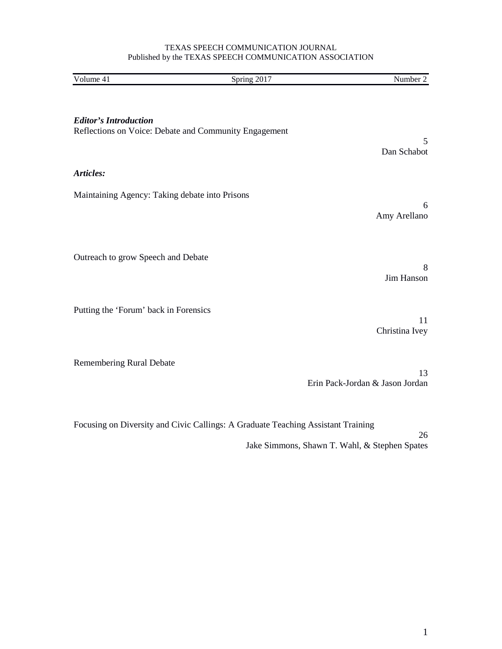#### TEXAS SPEECH COMMUNICATION JOURNAL Published by the TEXAS SPEECH COMMUNICATION ASSOCIATION

| Volume 41                                      | Spring 2017                                           | Number 2                              |
|------------------------------------------------|-------------------------------------------------------|---------------------------------------|
| <b>Editor's Introduction</b>                   | Reflections on Voice: Debate and Community Engagement | 5<br>Dan Schabot                      |
| Articles:                                      |                                                       |                                       |
| Maintaining Agency: Taking debate into Prisons |                                                       | 6<br>Amy Arellano                     |
| Outreach to grow Speech and Debate             |                                                       | 8<br>Jim Hanson                       |
| Putting the 'Forum' back in Forensics          |                                                       | 11<br>Christina Ivey                  |
| <b>Remembering Rural Debate</b>                |                                                       | 13<br>Erin Pack-Jordan & Jason Jordan |

Focusing on Diversity and Civic Callings: A Graduate Teaching Assistant Training

26 Jake Simmons, Shawn T. Wahl, & Stephen Spates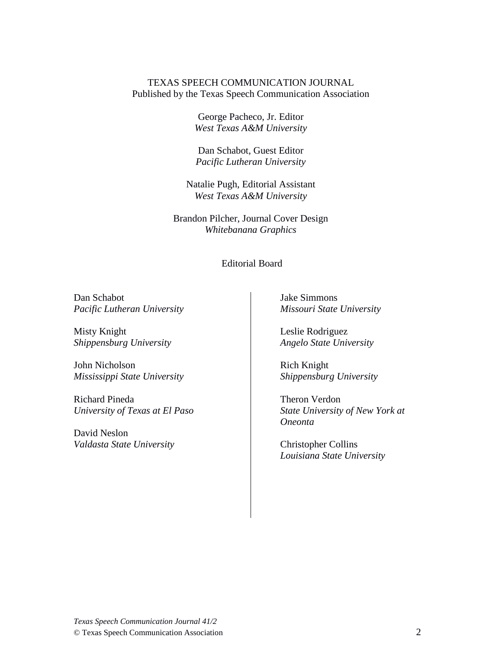# TEXAS SPEECH COMMUNICATION JOURNAL Published by the Texas Speech Communication Association

George Pacheco, Jr. Editor *West Texas A&M University*

Dan Schabot, Guest Editor *Pacific Lutheran University*

Natalie Pugh, Editorial Assistant *West Texas A&M University* 

Brandon Pilcher, Journal Cover Design *Whitebanana Graphics*

Editorial Board

Dan Schabot *Pacific Lutheran University*

Misty Knight *Shippensburg University*

John Nicholson *Mississippi State University* 

Richard Pineda *University of Texas at El Paso*

David Neslon *Valdasta State University*  Jake Simmons *Missouri State University* 

Leslie Rodriguez *Angelo State University* 

Rich Knight *Shippensburg University*

Theron Verdon *State University of New York at Oneonta*

Christopher Collins *Louisiana State University*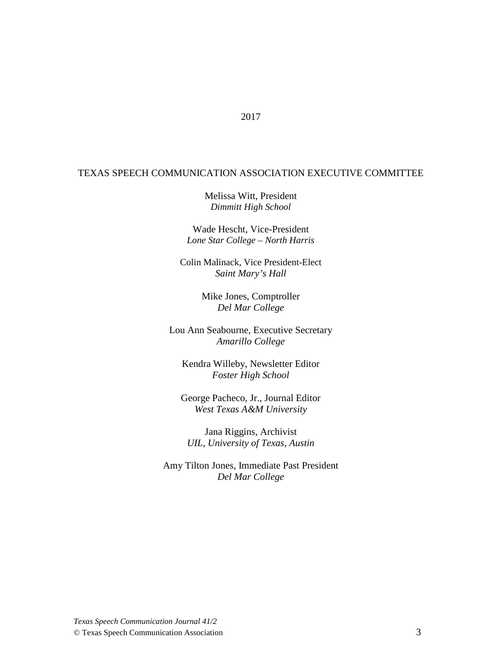# TEXAS SPEECH COMMUNICATION ASSOCIATION EXECUTIVE COMMITTEE

2017

Melissa Witt, President *Dimmitt High School* 

Wade Hescht, Vice-President *Lone Star College – North Harris*

Colin Malinack, Vice President-Elect *Saint Mary's Hall*

> Mike Jones, Comptroller *Del Mar College*

Lou Ann Seabourne, Executive Secretary *Amarillo College*

Kendra Willeby, Newsletter Editor *Foster High School* 

George Pacheco, Jr., Journal Editor *West Texas A&M University*

Jana Riggins, Archivist *UIL, University of Texas, Austin*

Amy Tilton Jones, Immediate Past President *Del Mar College*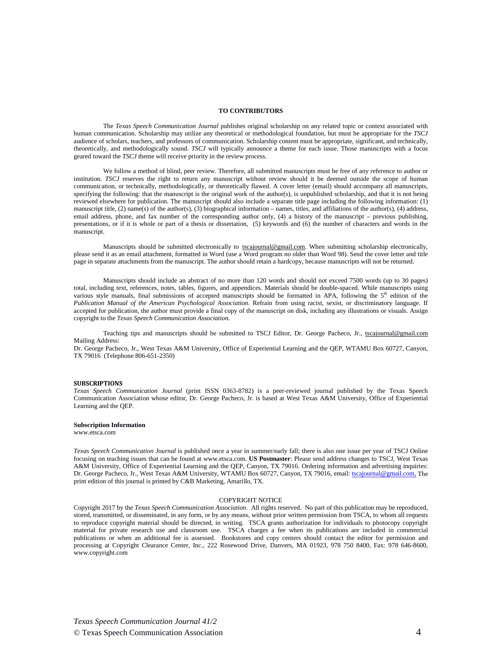#### **TO CONTRIBUTORS**

The *Texas Speech Communication Journal* publishes original scholarship on any related topic or context associated with human communication. Scholarship may utilize any theoretical or methodological foundation, but must be appropriate for the *TSCJ* audience of scholars, teachers, and professors of communication. Scholarship content must be appropriate, significant, and technically, theoretically, and methodologically sound. *TSCJ* will typically announce a theme for each issue. Those manuscripts with a focus geared toward the *TSCJ* theme will receive priority in the review process.

We follow a method of blind, peer review. Therefore, all submitted manuscripts must be free of any reference to author or institution. *TSCJ* reserves the right to return any manuscript without review should it be deemed outside the scope of human communication, or technically, methodologically, or theoretically flawed. A cover letter (email) should accompany all manuscripts, specifying the following: that the manuscript is the original work of the author(s), is unpublished scholarship, and that it is not being reviewed elsewhere for publication. The manuscript should also include a separate title page including the following information: (1) manuscript title,  $(2)$  name(s) of the author(s),  $(3)$  biographical information – names, titles, and affiliations of the author(s),  $(4)$  address, email address, phone, and fax number of the corresponding author only, (4) a history of the manuscript – previous publishing, presentations, or if it is whole or part of a thesis or dissertation, (5) keywords and (6) the number of characters and words in the manuscript.

Manuscripts should be submitted electronically to tscajournal@gmail.com. When submitting scholarship electronically, please send it as an email attachment, formatted in Word (use a Word program no older than Word 98). Send the cover letter and title page in separate attachments from the manuscript. The author should retain a hardcopy, because manuscripts will not be returned.

Manuscripts should include an abstract of no more than 120 words and should not exceed 7500 words (up to 30 pages) total, including text, references, notes, tables, figures, and appendices. Materials should be double-spaced. While manuscripts using various style manuals, final submissions of accepted manuscripts should be formatted in APA, following the  $5<sup>th</sup>$  edition of the *Publication Manual of the American Psychological Association.* Refrain from using racist, sexist, or discriminatory language. If accepted for publication, the author must provide a final copy of the manuscript on disk, including any illustrations or visuals. Assign copyright to the *Texas Speech Communication Association.*

Teaching tips and manuscripts should be submitted to TSCJ Editor, Dr. George Pacheco, Jr., tscajournal@gmail.com Mailing Address:

Dr. George Pacheco, Jr., West Texas A&M University, Office of Experiential Learning and the QEP, WTAMU Box 60727, Canyon, TX 79016 (Telephone 806-651-2350)

#### **SUBSCRIPTIONS**

*Texas Speech Communication Journal* (print ISSN 0363-8782) is a peer-reviewed journal published by the Texas Speech Communication Association whose editor, Dr. George Pacheco, Jr. is based at West Texas A&M University, Office of Experiential Learning and the QEP.

#### **Subscription Information**

www.etsca.com

*Texas Speech Communication Journal* is published once a year in summer/early fall; there is also one issue per year of TSCJ Online focusing on teaching issues that can be found at www.etsca.com. **US Postmaster**: Please send address changes to TSCJ, West Texas A&M University, Office of Experiential Learning and the QEP, Canyon, TX 79016. Ordering information and advertising inquiries: Dr. George Pacheco, Jr., West Texas A&M University, WTAMU Box 60727, Canyon, TX 79016, email[: tscajournal@gmail.com,](mailto:tscajournal@gmail.com,) The print edition of this journal is printed by C&B Marketing, Amarillo, TX.

#### COPYRIGHT NOTICE

Copyright 2017 by the *Texas Speech Communication Association*. All rights reserved. No part of this publication may be reproduced, stored, transmitted, or disseminated, in any form, or by any means, without prior written permission from TSCA, to whom all requests to reproduce copyright material should be directed, in writing. TSCA grants authorization for individuals to photocopy copyright material for private research use and classroom use. TSCA charges a fee when its publications are included in commercial publications or when an additional fee is assessed. Bookstores and copy centers should contact the editor for permission and processing at Copyright Clearance Center, Inc., 222 Rosewood Drive, Danvers, MA 01923, 978 750 8400, Fax: 978 646-8600, www.copyright.com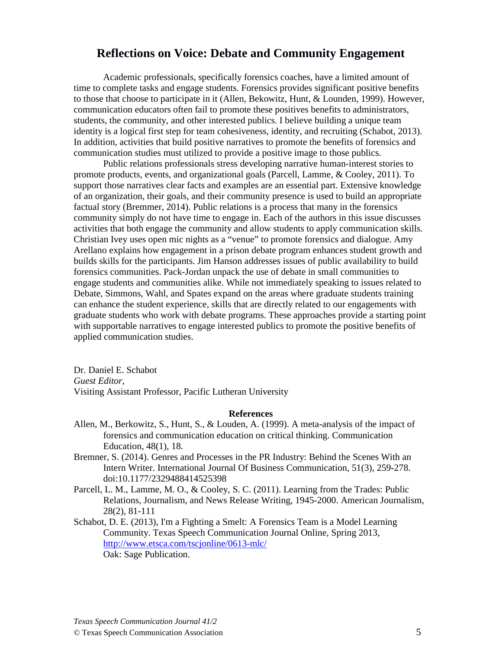# **Reflections on Voice: Debate and Community Engagement**

Academic professionals, specifically forensics coaches, have a limited amount of time to complete tasks and engage students. Forensics provides significant positive benefits to those that choose to participate in it (Allen, Bekowitz, Hunt, & Lounden, 1999). However, communication educators often fail to promote these positives benefits to administrators, students, the community, and other interested publics. I believe building a unique team identity is a logical first step for team cohesiveness, identity, and recruiting (Schabot, 2013). In addition, activities that build positive narratives to promote the benefits of forensics and communication studies must utilized to provide a positive image to those publics.

Public relations professionals stress developing narrative human-interest stories to promote products, events, and organizational goals (Parcell, Lamme, & Cooley, 2011). To support those narratives clear facts and examples are an essential part. Extensive knowledge of an organization, their goals, and their community presence is used to build an appropriate factual story (Bremmer, 2014). Public relations is a process that many in the forensics community simply do not have time to engage in. Each of the authors in this issue discusses activities that both engage the community and allow students to apply communication skills. Christian Ivey uses open mic nights as a "venue" to promote forensics and dialogue. Amy Arellano explains how engagement in a prison debate program enhances student growth and builds skills for the participants. Jim Hanson addresses issues of public availability to build forensics communities. Pack-Jordan unpack the use of debate in small communities to engage students and communities alike. While not immediately speaking to issues related to Debate, Simmons, Wahl, and Spates expand on the areas where graduate students training can enhance the student experience, skills that are directly related to our engagements with graduate students who work with debate programs. These approaches provide a starting point with supportable narratives to engage interested publics to promote the positive benefits of applied communication studies.

Dr. Daniel E. Schabot *Guest Editor,* Visiting Assistant Professor, Pacific Lutheran University

- Allen, M., Berkowitz, S., Hunt, S., & Louden, A. (1999). A meta-analysis of the impact of forensics and communication education on critical thinking. Communication Education, 48(1), 18.
- Bremner, S. (2014). Genres and Processes in the PR Industry: Behind the Scenes With an Intern Writer. International Journal Of Business Communication, 51(3), 259-278. doi:10.1177/2329488414525398
- Parcell, L. M., Lamme, M. O., & Cooley, S. C. (2011). Learning from the Trades: Public Relations, Journalism, and News Release Writing, 1945-2000. American Journalism, 28(2), 81-111
- Schabot, D. E. (2013), I'm a Fighting a Smelt: A Forensics Team is a Model Learning Community. Texas Speech Communication Journal Online, Spring 2013, <http://www.etsca.com/tscjonline/0613-mlc/> Oak: Sage Publication.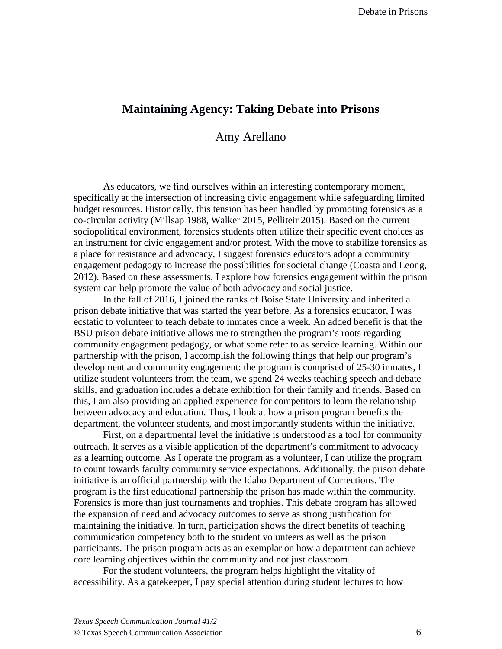# **Maintaining Agency: Taking Debate into Prisons**

Amy Arellano

As educators, we find ourselves within an interesting contemporary moment, specifically at the intersection of increasing civic engagement while safeguarding limited budget resources. Historically, this tension has been handled by promoting forensics as a co-circular activity (Millsap 1988, Walker 2015, Pelliteir 2015). Based on the current sociopolitical environment, forensics students often utilize their specific event choices as an instrument for civic engagement and/or protest. With the move to stabilize forensics as a place for resistance and advocacy, I suggest forensics educators adopt a community engagement pedagogy to increase the possibilities for societal change (Coasta and Leong, 2012). Based on these assessments, I explore how forensics engagement within the prison system can help promote the value of both advocacy and social justice.

In the fall of 2016, I joined the ranks of Boise State University and inherited a prison debate initiative that was started the year before. As a forensics educator, I was ecstatic to volunteer to teach debate to inmates once a week. An added benefit is that the BSU prison debate initiative allows me to strengthen the program's roots regarding community engagement pedagogy, or what some refer to as service learning. Within our partnership with the prison, I accomplish the following things that help our program's development and community engagement: the program is comprised of 25-30 inmates, I utilize student volunteers from the team, we spend 24 weeks teaching speech and debate skills, and graduation includes a debate exhibition for their family and friends. Based on this, I am also providing an applied experience for competitors to learn the relationship between advocacy and education. Thus, I look at how a prison program benefits the department, the volunteer students, and most importantly students within the initiative.

First, on a departmental level the initiative is understood as a tool for community outreach. It serves as a visible application of the department's commitment to advocacy as a learning outcome. As I operate the program as a volunteer, I can utilize the program to count towards faculty community service expectations. Additionally, the prison debate initiative is an official partnership with the Idaho Department of Corrections. The program is the first educational partnership the prison has made within the community. Forensics is more than just tournaments and trophies. This debate program has allowed the expansion of need and advocacy outcomes to serve as strong justification for maintaining the initiative. In turn, participation shows the direct benefits of teaching communication competency both to the student volunteers as well as the prison participants. The prison program acts as an exemplar on how a department can achieve core learning objectives within the community and not just classroom.

For the student volunteers, the program helps highlight the vitality of accessibility. As a gatekeeper, I pay special attention during student lectures to how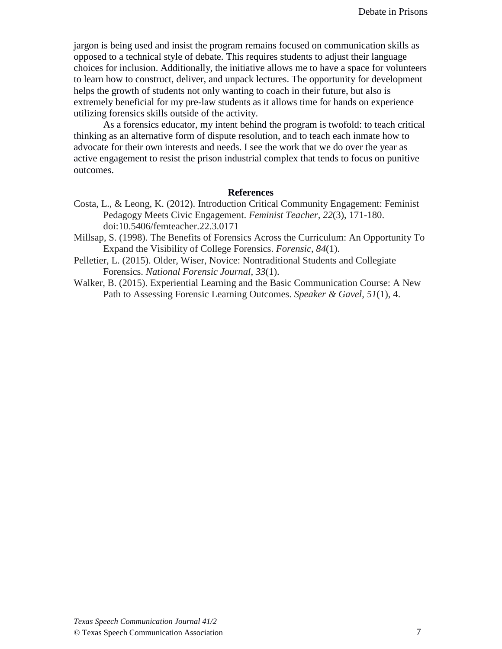jargon is being used and insist the program remains focused on communication skills as opposed to a technical style of debate. This requires students to adjust their language choices for inclusion. Additionally, the initiative allows me to have a space for volunteers to learn how to construct, deliver, and unpack lectures. The opportunity for development helps the growth of students not only wanting to coach in their future, but also is extremely beneficial for my pre-law students as it allows time for hands on experience utilizing forensics skills outside of the activity.

As a forensics educator, my intent behind the program is twofold: to teach critical thinking as an alternative form of dispute resolution, and to teach each inmate how to advocate for their own interests and needs. I see the work that we do over the year as active engagement to resist the prison industrial complex that tends to focus on punitive outcomes.

- Costa, L., & Leong, K. (2012). Introduction Critical Community Engagement: Feminist Pedagogy Meets Civic Engagement. *Feminist Teacher, 22*(3), 171-180. doi:10.5406/femteacher.22.3.0171
- Millsap, S. (1998). The Benefits of Forensics Across the Curriculum: An Opportunity To Expand the Visibility of College Forensics. *Forensic*, *84*(1).
- Pelletier, L. (2015). Older, Wiser, Novice: Nontraditional Students and Collegiate Forensics. *National Forensic Journal*, *33*(1).
- Walker, B. (2015). Experiential Learning and the Basic Communication Course: A New Path to Assessing Forensic Learning Outcomes. *Speaker & Gavel*, *51*(1), 4.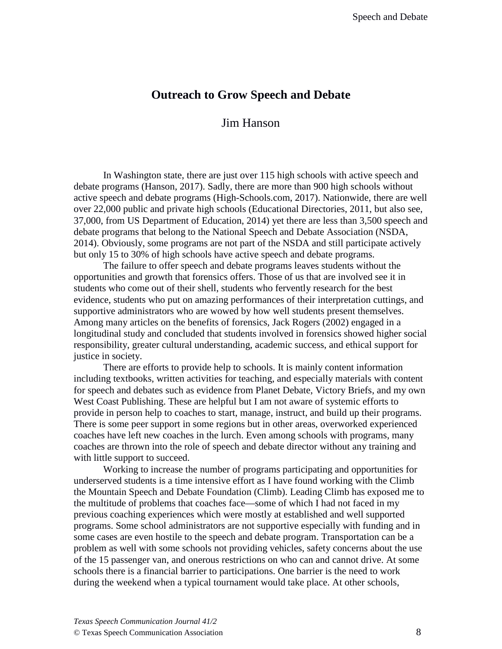# **Outreach to Grow Speech and Debate**

# Jim Hanson

In Washington state, there are just over 115 high schools with active speech and debate programs (Hanson, 2017). Sadly, there are more than 900 high schools without active speech and debate programs (High-Schools.com, 2017). Nationwide, there are well over 22,000 public and private high schools (Educational Directories, 2011, but also see, 37,000, from US Department of Education, 2014) yet there are less than 3,500 speech and debate programs that belong to the National Speech and Debate Association (NSDA, 2014). Obviously, some programs are not part of the NSDA and still participate actively but only 15 to 30% of high schools have active speech and debate programs.

The failure to offer speech and debate programs leaves students without the opportunities and growth that forensics offers. Those of us that are involved see it in students who come out of their shell, students who fervently research for the best evidence, students who put on amazing performances of their interpretation cuttings, and supportive administrators who are wowed by how well students present themselves. Among many articles on the benefits of forensics, Jack Rogers (2002) engaged in a longitudinal study and concluded that students involved in forensics showed higher social responsibility, greater cultural understanding, academic success, and ethical support for justice in society.

There are efforts to provide help to schools. It is mainly content information including textbooks, written activities for teaching, and especially materials with content for speech and debates such as evidence from Planet Debate, Victory Briefs, and my own West Coast Publishing. These are helpful but I am not aware of systemic efforts to provide in person help to coaches to start, manage, instruct, and build up their programs. There is some peer support in some regions but in other areas, overworked experienced coaches have left new coaches in the lurch. Even among schools with programs, many coaches are thrown into the role of speech and debate director without any training and with little support to succeed.

Working to increase the number of programs participating and opportunities for underserved students is a time intensive effort as I have found working with the Climb the Mountain Speech and Debate Foundation (Climb). Leading Climb has exposed me to the multitude of problems that coaches face—some of which I had not faced in my previous coaching experiences which were mostly at established and well supported programs. Some school administrators are not supportive especially with funding and in some cases are even hostile to the speech and debate program. Transportation can be a problem as well with some schools not providing vehicles, safety concerns about the use of the 15 passenger van, and onerous restrictions on who can and cannot drive. At some schools there is a financial barrier to participations. One barrier is the need to work during the weekend when a typical tournament would take place. At other schools,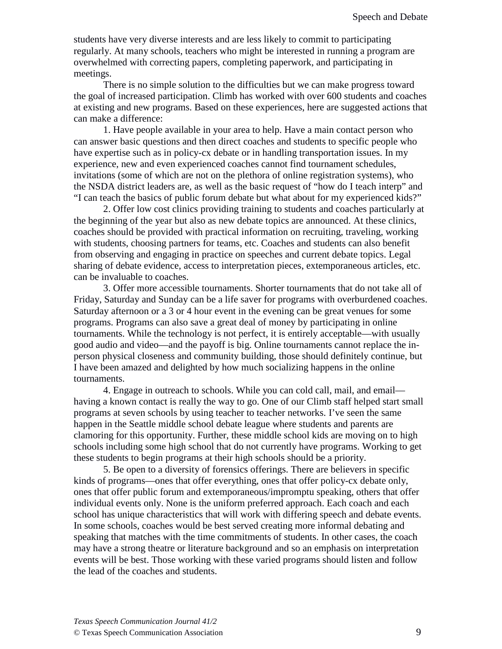students have very diverse interests and are less likely to commit to participating regularly. At many schools, teachers who might be interested in running a program are overwhelmed with correcting papers, completing paperwork, and participating in meetings.

There is no simple solution to the difficulties but we can make progress toward the goal of increased participation. Climb has worked with over 600 students and coaches at existing and new programs. Based on these experiences, here are suggested actions that can make a difference:

1. Have people available in your area to help. Have a main contact person who can answer basic questions and then direct coaches and students to specific people who have expertise such as in policy-cx debate or in handling transportation issues. In my experience, new and even experienced coaches cannot find tournament schedules, invitations (some of which are not on the plethora of online registration systems), who the NSDA district leaders are, as well as the basic request of "how do I teach interp" and "I can teach the basics of public forum debate but what about for my experienced kids?"

2. Offer low cost clinics providing training to students and coaches particularly at the beginning of the year but also as new debate topics are announced. At these clinics, coaches should be provided with practical information on recruiting, traveling, working with students, choosing partners for teams, etc. Coaches and students can also benefit from observing and engaging in practice on speeches and current debate topics. Legal sharing of debate evidence, access to interpretation pieces, extemporaneous articles, etc. can be invaluable to coaches.

3. Offer more accessible tournaments. Shorter tournaments that do not take all of Friday, Saturday and Sunday can be a life saver for programs with overburdened coaches. Saturday afternoon or a 3 or 4 hour event in the evening can be great venues for some programs. Programs can also save a great deal of money by participating in online tournaments. While the technology is not perfect, it is entirely acceptable—with usually good audio and video—and the payoff is big. Online tournaments cannot replace the inperson physical closeness and community building, those should definitely continue, but I have been amazed and delighted by how much socializing happens in the online tournaments.

4. Engage in outreach to schools. While you can cold call, mail, and email having a known contact is really the way to go. One of our Climb staff helped start small programs at seven schools by using teacher to teacher networks. I've seen the same happen in the Seattle middle school debate league where students and parents are clamoring for this opportunity. Further, these middle school kids are moving on to high schools including some high school that do not currently have programs. Working to get these students to begin programs at their high schools should be a priority.

5. Be open to a diversity of forensics offerings. There are believers in specific kinds of programs—ones that offer everything, ones that offer policy-cx debate only, ones that offer public forum and extemporaneous/impromptu speaking, others that offer individual events only. None is the uniform preferred approach. Each coach and each school has unique characteristics that will work with differing speech and debate events. In some schools, coaches would be best served creating more informal debating and speaking that matches with the time commitments of students. In other cases, the coach may have a strong theatre or literature background and so an emphasis on interpretation events will be best. Those working with these varied programs should listen and follow the lead of the coaches and students.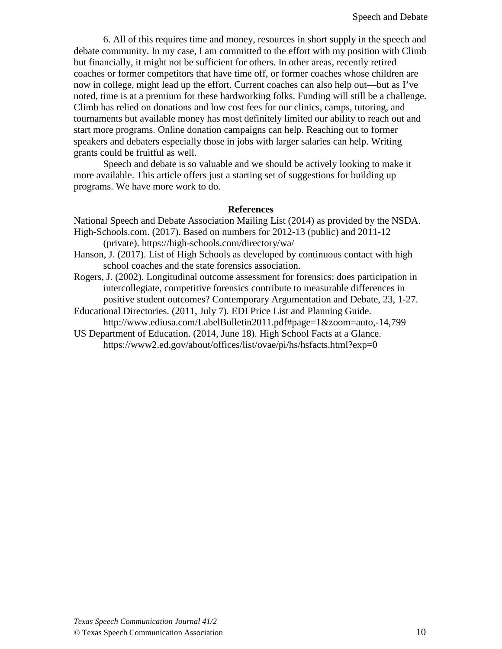6. All of this requires time and money, resources in short supply in the speech and debate community. In my case, I am committed to the effort with my position with Climb but financially, it might not be sufficient for others. In other areas, recently retired coaches or former competitors that have time off, or former coaches whose children are now in college, might lead up the effort. Current coaches can also help out—but as I've noted, time is at a premium for these hardworking folks. Funding will still be a challenge. Climb has relied on donations and low cost fees for our clinics, camps, tutoring, and tournaments but available money has most definitely limited our ability to reach out and start more programs. Online donation campaigns can help. Reaching out to former speakers and debaters especially those in jobs with larger salaries can help. Writing grants could be fruitful as well.

Speech and debate is so valuable and we should be actively looking to make it more available. This article offers just a starting set of suggestions for building up programs. We have more work to do.

- National Speech and Debate Association Mailing List (2014) as provided by the NSDA. High-Schools.com. (2017). Based on numbers for 2012-13 (public) and 2011-12 (private). https://high-schools.com/directory/wa/
- Hanson, J. (2017). List of High Schools as developed by continuous contact with high school coaches and the state forensics association.
- Rogers, J. (2002). Longitudinal outcome assessment for forensics: does participation in intercollegiate, competitive forensics contribute to measurable differences in positive student outcomes? Contemporary Argumentation and Debate, 23, 1-27.
- Educational Directories. (2011, July 7). EDI Price List and Planning Guide. http://www.ediusa.com/LabelBulletin2011.pdf#page=1&zoom=auto,-14,799
- US Department of Education. (2014, June 18). High School Facts at a Glance. https://www2.ed.gov/about/offices/list/ovae/pi/hs/hsfacts.html?exp=0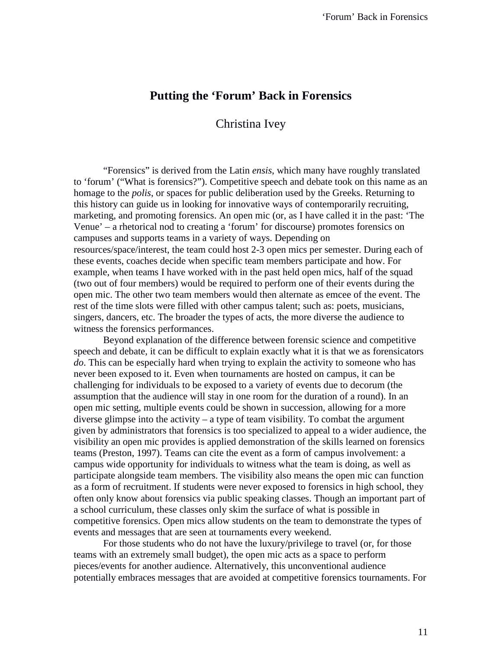# **Putting the 'Forum' Back in Forensics**

# Christina Ivey

"Forensics" is derived from the Latin *ensis*, which many have roughly translated to 'forum' ("What is forensics?"). Competitive speech and debate took on this name as an homage to the *polis*, or spaces for public deliberation used by the Greeks. Returning to this history can guide us in looking for innovative ways of contemporarily recruiting, marketing, and promoting forensics. An open mic (or, as I have called it in the past: 'The Venue' – a rhetorical nod to creating a 'forum' for discourse) promotes forensics on campuses and supports teams in a variety of ways. Depending on resources/space/interest, the team could host 2-3 open mics per semester. During each of these events, coaches decide when specific team members participate and how. For example, when teams I have worked with in the past held open mics, half of the squad (two out of four members) would be required to perform one of their events during the open mic. The other two team members would then alternate as emcee of the event. The rest of the time slots were filled with other campus talent; such as: poets, musicians, singers, dancers, etc. The broader the types of acts, the more diverse the audience to witness the forensics performances.

Beyond explanation of the difference between forensic science and competitive speech and debate, it can be difficult to explain exactly what it is that we as forensicators *do*. This can be especially hard when trying to explain the activity to someone who has never been exposed to it. Even when tournaments are hosted on campus, it can be challenging for individuals to be exposed to a variety of events due to decorum (the assumption that the audience will stay in one room for the duration of a round). In an open mic setting, multiple events could be shown in succession, allowing for a more diverse glimpse into the activity – a type of team visibility. To combat the argument given by administrators that forensics is too specialized to appeal to a wider audience, the visibility an open mic provides is applied demonstration of the skills learned on forensics teams (Preston, 1997). Teams can cite the event as a form of campus involvement: a campus wide opportunity for individuals to witness what the team is doing, as well as participate alongside team members. The visibility also means the open mic can function as a form of recruitment. If students were never exposed to forensics in high school, they often only know about forensics via public speaking classes. Though an important part of a school curriculum, these classes only skim the surface of what is possible in competitive forensics. Open mics allow students on the team to demonstrate the types of events and messages that are seen at tournaments every weekend.

For those students who do not have the luxury/privilege to travel (or, for those teams with an extremely small budget), the open mic acts as a space to perform pieces/events for another audience. Alternatively, this unconventional audience potentially embraces messages that are avoided at competitive forensics tournaments. For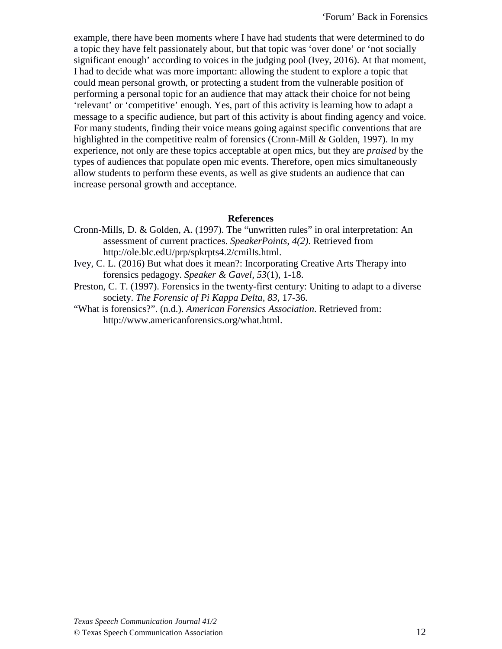example, there have been moments where I have had students that were determined to do a topic they have felt passionately about, but that topic was 'over done' or 'not socially significant enough' according to voices in the judging pool (Ivey, 2016). At that moment, I had to decide what was more important: allowing the student to explore a topic that could mean personal growth, or protecting a student from the vulnerable position of performing a personal topic for an audience that may attack their choice for not being 'relevant' or 'competitive' enough. Yes, part of this activity is learning how to adapt a message to a specific audience, but part of this activity is about finding agency and voice. For many students, finding their voice means going against specific conventions that are highlighted in the competitive realm of forensics (Cronn-Mill & Golden, 1997). In my experience, not only are these topics acceptable at open mics, but they are *praised* by the types of audiences that populate open mic events. Therefore, open mics simultaneously allow students to perform these events, as well as give students an audience that can increase personal growth and acceptance.

- Cronn-Mills, D. & Golden, A. (1997). The "unwritten rules" in oral interpretation: An assessment of current practices. *SpeakerPoints, 4(2)*. Retrieved from http://ole.blc.edU/prp/spkrpts4.2/cmilIs.html.
- Ivey, C. L. (2016) But what does it mean?: Incorporating Creative Arts Therapy into forensics pedagogy. *Speaker & Gavel, 53*(1), 1-18.
- Preston, C. T. (1997). Forensics in the twenty-first century: Uniting to adapt to a diverse society. *The Forensic of Pi Kappa Delta, 83,* 17-36.
- "What is forensics?". (n.d.). *American Forensics Association*. Retrieved from: http://www.americanforensics.org/what.html.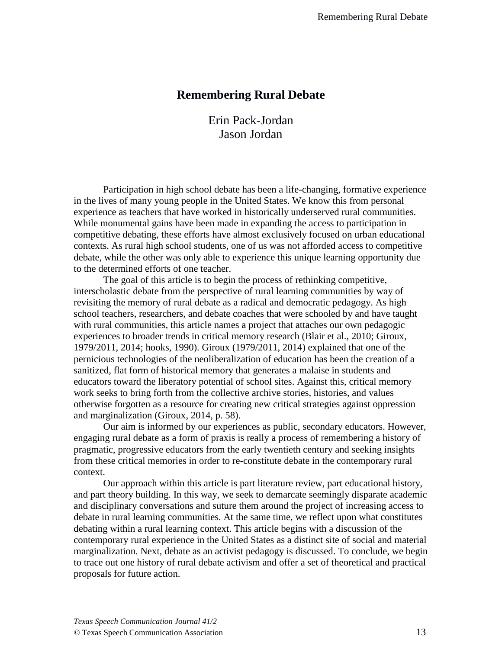# **Remembering Rural Debate**

Erin Pack-Jordan Jason Jordan

Participation in high school debate has been a life-changing, formative experience in the lives of many young people in the United States. We know this from personal experience as teachers that have worked in historically underserved rural communities. While monumental gains have been made in expanding the access to participation in competitive debating, these efforts have almost exclusively focused on urban educational contexts. As rural high school students, one of us was not afforded access to competitive debate, while the other was only able to experience this unique learning opportunity due to the determined efforts of one teacher.

 The goal of this article is to begin the process of rethinking competitive, interscholastic debate from the perspective of rural learning communities by way of revisiting the memory of rural debate as a radical and democratic pedagogy. As high school teachers, researchers, and debate coaches that were schooled by and have taught with rural communities, this article names a project that attaches our own pedagogic experiences to broader trends in critical memory research (Blair et al., 2010; Giroux, 1979/2011, 2014; hooks, 1990). Giroux (1979/2011, 2014) explained that one of the pernicious technologies of the neoliberalization of education has been the creation of a sanitized, flat form of historical memory that generates a malaise in students and educators toward the liberatory potential of school sites. Against this, critical memory work seeks to bring forth from the collective archive stories, histories, and values otherwise forgotten as a resource for creating new critical strategies against oppression and marginalization (Giroux, 2014, p. 58).

 Our aim is informed by our experiences as public, secondary educators. However, engaging rural debate as a form of praxis is really a process of remembering a history of pragmatic, progressive educators from the early twentieth century and seeking insights from these critical memories in order to re-constitute debate in the contemporary rural context.

 Our approach within this article is part literature review, part educational history, and part theory building. In this way, we seek to demarcate seemingly disparate academic and disciplinary conversations and suture them around the project of increasing access to debate in rural learning communities. At the same time, we reflect upon what constitutes debating within a rural learning context. This article begins with a discussion of the contemporary rural experience in the United States as a distinct site of social and material marginalization. Next, debate as an activist pedagogy is discussed. To conclude, we begin to trace out one history of rural debate activism and offer a set of theoretical and practical proposals for future action.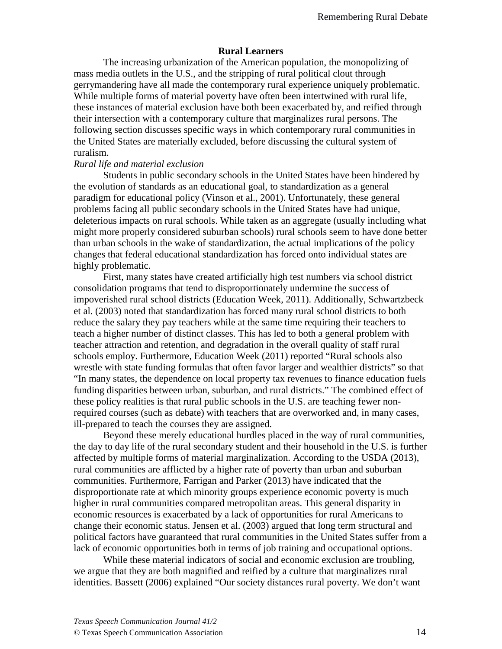## **Rural Learners**

 The increasing urbanization of the American population, the monopolizing of mass media outlets in the U.S., and the stripping of rural political clout through gerrymandering have all made the contemporary rural experience uniquely problematic. While multiple forms of material poverty have often been intertwined with rural life, these instances of material exclusion have both been exacerbated by, and reified through their intersection with a contemporary culture that marginalizes rural persons. The following section discusses specific ways in which contemporary rural communities in the United States are materially excluded, before discussing the cultural system of ruralism.

### *Rural life and material exclusion*

Students in public secondary schools in the United States have been hindered by the evolution of standards as an educational goal, to standardization as a general paradigm for educational policy (Vinson et al., 2001). Unfortunately, these general problems facing all public secondary schools in the United States have had unique, deleterious impacts on rural schools. While taken as an aggregate (usually including what might more properly considered suburban schools) rural schools seem to have done better than urban schools in the wake of standardization, the actual implications of the policy changes that federal educational standardization has forced onto individual states are highly problematic.

First, many states have created artificially high test numbers via school district consolidation programs that tend to disproportionately undermine the success of impoverished rural school districts (Education Week, 2011). Additionally, Schwartzbeck et al. (2003) noted that standardization has forced many rural school districts to both reduce the salary they pay teachers while at the same time requiring their teachers to teach a higher number of distinct classes. This has led to both a general problem with teacher attraction and retention, and degradation in the overall quality of staff rural schools employ. Furthermore, Education Week (2011) reported "Rural schools also wrestle with state funding formulas that often favor larger and wealthier districts" so that "In many states, the dependence on local property tax revenues to finance education fuels funding disparities between urban, suburban, and rural districts." The combined effect of these policy realities is that rural public schools in the U.S. are teaching fewer nonrequired courses (such as debate) with teachers that are overworked and, in many cases, ill-prepared to teach the courses they are assigned.

Beyond these merely educational hurdles placed in the way of rural communities, the day to day life of the rural secondary student and their household in the U.S. is further affected by multiple forms of material marginalization. According to the USDA (2013), rural communities are afflicted by a higher rate of poverty than urban and suburban communities. Furthermore, Farrigan and Parker (2013) have indicated that the disproportionate rate at which minority groups experience economic poverty is much higher in rural communities compared metropolitan areas. This general disparity in economic resources is exacerbated by a lack of opportunities for rural Americans to change their economic status. Jensen et al. (2003) argued that long term structural and political factors have guaranteed that rural communities in the United States suffer from a lack of economic opportunities both in terms of job training and occupational options.

While these material indicators of social and economic exclusion are troubling, we argue that they are both magnified and reified by a culture that marginalizes rural identities. Bassett (2006) explained "Our society distances rural poverty. We don't want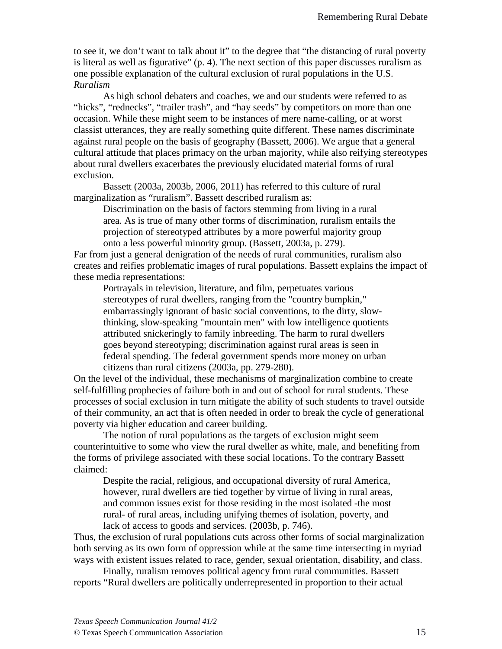to see it, we don't want to talk about it" to the degree that "the distancing of rural poverty is literal as well as figurative" (p. 4). The next section of this paper discusses ruralism as one possible explanation of the cultural exclusion of rural populations in the U.S. *Ruralism*

 As high school debaters and coaches, we and our students were referred to as "hicks", "rednecks", "trailer trash", and "hay seeds" by competitors on more than one occasion. While these might seem to be instances of mere name-calling, or at worst classist utterances, they are really something quite different. These names discriminate against rural people on the basis of geography (Bassett, 2006). We argue that a general cultural attitude that places primacy on the urban majority, while also reifying stereotypes about rural dwellers exacerbates the previously elucidated material forms of rural exclusion.

Bassett (2003a, 2003b, 2006, 2011) has referred to this culture of rural marginalization as "ruralism". Bassett described ruralism as:

Discrimination on the basis of factors stemming from living in a rural area. As is true of many other forms of discrimination, ruralism entails the projection of stereotyped attributes by a more powerful majority group onto a less powerful minority group. (Bassett, 2003a, p. 279).

Far from just a general denigration of the needs of rural communities, ruralism also creates and reifies problematic images of rural populations. Bassett explains the impact of these media representations:

Portrayals in television, literature, and film, perpetuates various stereotypes of rural dwellers, ranging from the "country bumpkin," embarrassingly ignorant of basic social conventions, to the dirty, slowthinking, slow-speaking "mountain men" with low intelligence quotients attributed snickeringly to family inbreeding. The harm to rural dwellers goes beyond stereotyping; discrimination against rural areas is seen in federal spending. The federal government spends more money on urban citizens than rural citizens (2003a, pp. 279-280).

On the level of the individual, these mechanisms of marginalization combine to create self-fulfilling prophecies of failure both in and out of school for rural students. These processes of social exclusion in turn mitigate the ability of such students to travel outside of their community, an act that is often needed in order to break the cycle of generational poverty via higher education and career building.

The notion of rural populations as the targets of exclusion might seem counterintuitive to some who view the rural dweller as white, male, and benefiting from the forms of privilege associated with these social locations. To the contrary Bassett claimed:

Despite the racial, religious, and occupational diversity of rural America, however, rural dwellers are tied together by virtue of living in rural areas, and common issues exist for those residing in the most isolated -the most rural- of rural areas, including unifying themes of isolation, poverty, and lack of access to goods and services. (2003b, p. 746).

Thus, the exclusion of rural populations cuts across other forms of social marginalization both serving as its own form of oppression while at the same time intersecting in myriad ways with existent issues related to race, gender, sexual orientation, disability, and class.

 Finally, ruralism removes political agency from rural communities. Bassett reports "Rural dwellers are politically underrepresented in proportion to their actual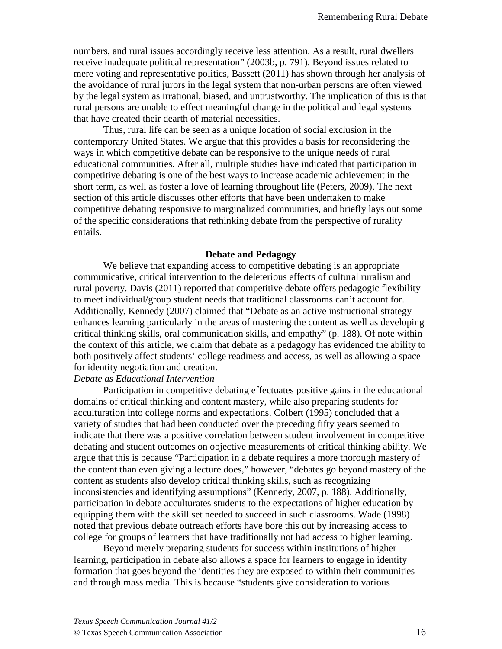numbers, and rural issues accordingly receive less attention. As a result, rural dwellers receive inadequate political representation" (2003b, p. 791). Beyond issues related to mere voting and representative politics, Bassett (2011) has shown through her analysis of the avoidance of rural jurors in the legal system that non-urban persons are often viewed by the legal system as irrational, biased, and untrustworthy. The implication of this is that rural persons are unable to effect meaningful change in the political and legal systems that have created their dearth of material necessities.

 Thus, rural life can be seen as a unique location of social exclusion in the contemporary United States. We argue that this provides a basis for reconsidering the ways in which competitive debate can be responsive to the unique needs of rural educational communities. After all, multiple studies have indicated that participation in competitive debating is one of the best ways to increase academic achievement in the short term, as well as foster a love of learning throughout life (Peters, 2009). The next section of this article discusses other efforts that have been undertaken to make competitive debating responsive to marginalized communities, and briefly lays out some of the specific considerations that rethinking debate from the perspective of rurality entails.

#### **Debate and Pedagogy**

We believe that expanding access to competitive debating is an appropriate communicative, critical intervention to the deleterious effects of cultural ruralism and rural poverty. Davis (2011) reported that competitive debate offers pedagogic flexibility to meet individual/group student needs that traditional classrooms can't account for. Additionally, Kennedy (2007) claimed that "Debate as an active instructional strategy enhances learning particularly in the areas of mastering the content as well as developing critical thinking skills, oral communication skills, and empathy" (p. 188). Of note within the context of this article, we claim that debate as a pedagogy has evidenced the ability to both positively affect students' college readiness and access, as well as allowing a space for identity negotiation and creation.

## *Debate as Educational Intervention*

 Participation in competitive debating effectuates positive gains in the educational domains of critical thinking and content mastery, while also preparing students for acculturation into college norms and expectations. Colbert (1995) concluded that a variety of studies that had been conducted over the preceding fifty years seemed to indicate that there was a positive correlation between student involvement in competitive debating and student outcomes on objective measurements of critical thinking ability. We argue that this is because "Participation in a debate requires a more thorough mastery of the content than even giving a lecture does," however, "debates go beyond mastery of the content as students also develop critical thinking skills, such as recognizing inconsistencies and identifying assumptions" (Kennedy, 2007, p. 188). Additionally, participation in debate acculturates students to the expectations of higher education by equipping them with the skill set needed to succeed in such classrooms. Wade (1998) noted that previous debate outreach efforts have bore this out by increasing access to college for groups of learners that have traditionally not had access to higher learning.

 Beyond merely preparing students for success within institutions of higher learning, participation in debate also allows a space for learners to engage in identity formation that goes beyond the identities they are exposed to within their communities and through mass media. This is because "students give consideration to various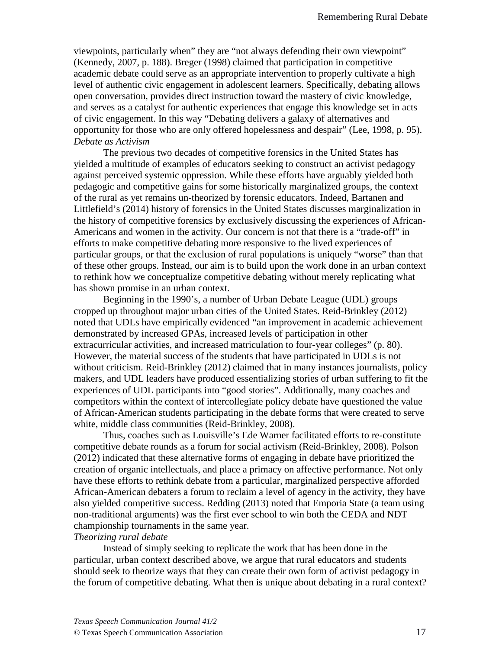viewpoints, particularly when" they are "not always defending their own viewpoint" (Kennedy, 2007, p. 188). Breger (1998) claimed that participation in competitive academic debate could serve as an appropriate intervention to properly cultivate a high level of authentic civic engagement in adolescent learners. Specifically, debating allows open conversation, provides direct instruction toward the mastery of civic knowledge, and serves as a catalyst for authentic experiences that engage this knowledge set in acts of civic engagement. In this way "Debating delivers a galaxy of alternatives and opportunity for those who are only offered hopelessness and despair" (Lee, 1998, p. 95). *Debate as Activism*

 The previous two decades of competitive forensics in the United States has yielded a multitude of examples of educators seeking to construct an activist pedagogy against perceived systemic oppression. While these efforts have arguably yielded both pedagogic and competitive gains for some historically marginalized groups, the context of the rural as yet remains un-theorized by forensic educators. Indeed, Bartanen and Littlefield's (2014) history of forensics in the United States discusses marginalization in the history of competitive forensics by exclusively discussing the experiences of African-Americans and women in the activity. Our concern is not that there is a "trade-off" in efforts to make competitive debating more responsive to the lived experiences of particular groups, or that the exclusion of rural populations is uniquely "worse" than that of these other groups. Instead, our aim is to build upon the work done in an urban context to rethink how we conceptualize competitive debating without merely replicating what has shown promise in an urban context.

 Beginning in the 1990's, a number of Urban Debate League (UDL) groups cropped up throughout major urban cities of the United States. Reid-Brinkley (2012) noted that UDLs have empirically evidenced "an improvement in academic achievement demonstrated by increased GPAs, increased levels of participation in other extracurricular activities, and increased matriculation to four-year colleges" (p. 80). However, the material success of the students that have participated in UDLs is not without criticism. Reid-Brinkley (2012) claimed that in many instances journalists, policy makers, and UDL leaders have produced essentializing stories of urban suffering to fit the experiences of UDL participants into "good stories". Additionally, many coaches and competitors within the context of intercollegiate policy debate have questioned the value of African-American students participating in the debate forms that were created to serve white, middle class communities (Reid-Brinkley, 2008).

 Thus, coaches such as Louisville's Ede Warner facilitated efforts to re-constitute competitive debate rounds as a forum for social activism (Reid-Brinkley, 2008). Polson (2012) indicated that these alternative forms of engaging in debate have prioritized the creation of organic intellectuals, and place a primacy on affective performance. Not only have these efforts to rethink debate from a particular, marginalized perspective afforded African-American debaters a forum to reclaim a level of agency in the activity, they have also yielded competitive success. Redding (2013) noted that Emporia State (a team using non-traditional arguments) was the first ever school to win both the CEDA and NDT championship tournaments in the same year.

#### *Theorizing rural debate*

Instead of simply seeking to replicate the work that has been done in the particular, urban context described above, we argue that rural educators and students should seek to theorize ways that they can create their own form of activist pedagogy in the forum of competitive debating. What then is unique about debating in a rural context?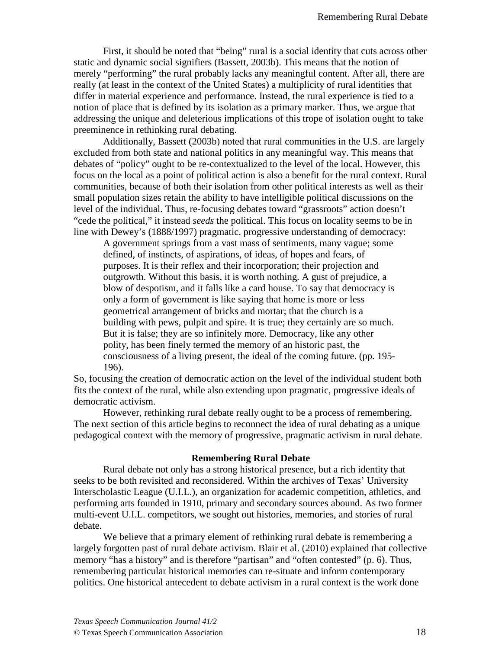First, it should be noted that "being" rural is a social identity that cuts across other static and dynamic social signifiers (Bassett, 2003b). This means that the notion of merely "performing" the rural probably lacks any meaningful content. After all, there are really (at least in the context of the United States) a multiplicity of rural identities that differ in material experience and performance. Instead, the rural experience is tied to a notion of place that is defined by its isolation as a primary marker. Thus, we argue that addressing the unique and deleterious implications of this trope of isolation ought to take preeminence in rethinking rural debating.

Additionally, Bassett (2003b) noted that rural communities in the U.S. are largely excluded from both state and national politics in any meaningful way. This means that debates of "policy" ought to be re-contextualized to the level of the local. However, this focus on the local as a point of political action is also a benefit for the rural context. Rural communities, because of both their isolation from other political interests as well as their small population sizes retain the ability to have intelligible political discussions on the level of the individual. Thus, re-focusing debates toward "grassroots" action doesn't "cede the political," it instead *seeds* the political. This focus on locality seems to be in line with Dewey's (1888/1997) pragmatic, progressive understanding of democracy:

A government springs from a vast mass of sentiments, many vague; some defined, of instincts, of aspirations, of ideas, of hopes and fears, of purposes. It is their reflex and their incorporation; their projection and outgrowth. Without this basis, it is worth nothing. A gust of prejudice, a blow of despotism, and it falls like a card house. To say that democracy is only a form of government is like saying that home is more or less geometrical arrangement of bricks and mortar; that the church is a building with pews, pulpit and spire. It is true; they certainly are so much. But it is false; they are so infinitely more. Democracy, like any other polity, has been finely termed the memory of an historic past, the consciousness of a living present, the ideal of the coming future. (pp. 195- 196).

So, focusing the creation of democratic action on the level of the individual student both fits the context of the rural, while also extending upon pragmatic, progressive ideals of democratic activism.

 However, rethinking rural debate really ought to be a process of remembering. The next section of this article begins to reconnect the idea of rural debating as a unique pedagogical context with the memory of progressive, pragmatic activism in rural debate.

### **Remembering Rural Debate**

Rural debate not only has a strong historical presence, but a rich identity that seeks to be both revisited and reconsidered. Within the archives of Texas' University Interscholastic League (U.I.L.), an organization for academic competition, athletics, and performing arts founded in 1910, primary and secondary sources abound. As two former multi-event U.I.L. competitors, we sought out histories, memories, and stories of rural debate.

We believe that a primary element of rethinking rural debate is remembering a largely forgotten past of rural debate activism. Blair et al. (2010) explained that collective memory "has a history" and is therefore "partisan" and "often contested" (p. 6). Thus, remembering particular historical memories can re-situate and inform contemporary politics. One historical antecedent to debate activism in a rural context is the work done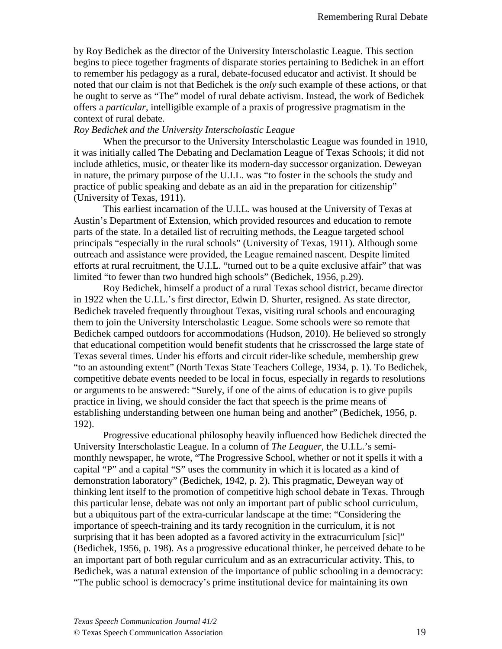by Roy Bedichek as the director of the University Interscholastic League. This section begins to piece together fragments of disparate stories pertaining to Bedichek in an effort to remember his pedagogy as a rural, debate-focused educator and activist. It should be noted that our claim is not that Bedichek is the *only* such example of these actions, or that he ought to serve as "The" model of rural debate activism. Instead, the work of Bedichek offers a *particular*, intelligible example of a praxis of progressive pragmatism in the context of rural debate.

## *Roy Bedichek and the University Interscholastic League*

When the precursor to the University Interscholastic League was founded in 1910, it was initially called The Debating and Declamation League of Texas Schools; it did not include athletics, music, or theater like its modern-day successor organization. Deweyan in nature, the primary purpose of the U.I.L. was "to foster in the schools the study and practice of public speaking and debate as an aid in the preparation for citizenship" (University of Texas, 1911).

This earliest incarnation of the U.I.L. was housed at the University of Texas at Austin's Department of Extension, which provided resources and education to remote parts of the state. In a detailed list of recruiting methods, the League targeted school principals "especially in the rural schools" (University of Texas, 1911). Although some outreach and assistance were provided, the League remained nascent. Despite limited efforts at rural recruitment, the U.I.L. "turned out to be a quite exclusive affair" that was limited "to fewer than two hundred high schools" (Bedichek, 1956, p.29).

Roy Bedichek, himself a product of a rural Texas school district, became director in 1922 when the U.I.L.'s first director, Edwin D. Shurter, resigned. As state director, Bedichek traveled frequently throughout Texas, visiting rural schools and encouraging them to join the University Interscholastic League. Some schools were so remote that Bedichek camped outdoors for accommodations (Hudson, 2010). He believed so strongly that educational competition would benefit students that he crisscrossed the large state of Texas several times. Under his efforts and circuit rider-like schedule, membership grew "to an astounding extent" (North Texas State Teachers College, 1934, p. 1). To Bedichek, competitive debate events needed to be local in focus, especially in regards to resolutions or arguments to be answered: "Surely, if one of the aims of education is to give pupils practice in living, we should consider the fact that speech is the prime means of establishing understanding between one human being and another" (Bedichek, 1956, p. 192).

Progressive educational philosophy heavily influenced how Bedichek directed the University Interscholastic League. In a column of *The Leaguer*, the U.I.L.'s semimonthly newspaper, he wrote, "The Progressive School, whether or not it spells it with a capital "P" and a capital "S" uses the community in which it is located as a kind of demonstration laboratory" (Bedichek, 1942, p. 2). This pragmatic, Deweyan way of thinking lent itself to the promotion of competitive high school debate in Texas. Through this particular lense, debate was not only an important part of public school curriculum, but a ubiquitous part of the extra-curricular landscape at the time: "Considering the importance of speech-training and its tardy recognition in the curriculum, it is not surprising that it has been adopted as a favored activity in the extracurriculum [sic]" (Bedichek, 1956, p. 198). As a progressive educational thinker, he perceived debate to be an important part of both regular curriculum and as an extracurricular activity. This, to Bedichek, was a natural extension of the importance of public schooling in a democracy: "The public school is democracy's prime institutional device for maintaining its own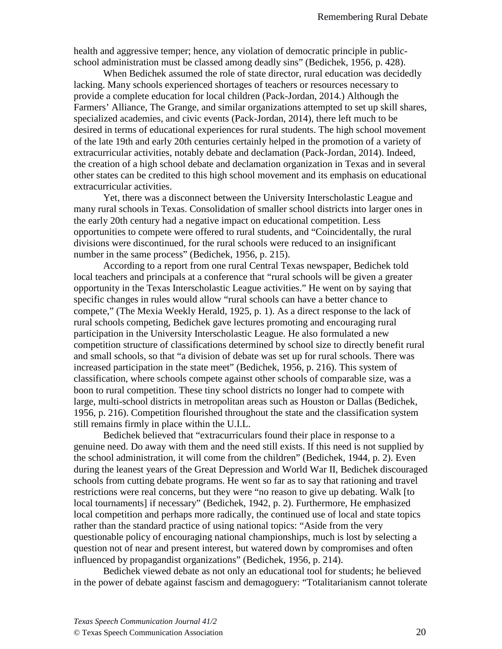health and aggressive temper; hence, any violation of democratic principle in publicschool administration must be classed among deadly sins" (Bedichek, 1956, p. 428).

When Bedichek assumed the role of state director, rural education was decidedly lacking. Many schools experienced shortages of teachers or resources necessary to provide a complete education for local children (Pack-Jordan, 2014.) Although the Farmers' Alliance, The Grange, and similar organizations attempted to set up skill shares, specialized academies, and civic events (Pack-Jordan, 2014), there left much to be desired in terms of educational experiences for rural students. The high school movement of the late 19th and early 20th centuries certainly helped in the promotion of a variety of extracurricular activities, notably debate and declamation (Pack-Jordan, 2014). Indeed, the creation of a high school debate and declamation organization in Texas and in several other states can be credited to this high school movement and its emphasis on educational extracurricular activities.

Yet, there was a disconnect between the University Interscholastic League and many rural schools in Texas. Consolidation of smaller school districts into larger ones in the early 20th century had a negative impact on educational competition. Less opportunities to compete were offered to rural students, and "Coincidentally, the rural divisions were discontinued, for the rural schools were reduced to an insignificant number in the same process" (Bedichek, 1956, p. 215).

According to a report from one rural Central Texas newspaper, Bedichek told local teachers and principals at a conference that "rural schools will be given a greater opportunity in the Texas Interscholastic League activities." He went on by saying that specific changes in rules would allow "rural schools can have a better chance to compete," (The Mexia Weekly Herald, 1925, p. 1). As a direct response to the lack of rural schools competing, Bedichek gave lectures promoting and encouraging rural participation in the University Interscholastic League. He also formulated a new competition structure of classifications determined by school size to directly benefit rural and small schools, so that "a division of debate was set up for rural schools. There was increased participation in the state meet" (Bedichek, 1956, p. 216). This system of classification, where schools compete against other schools of comparable size, was a boon to rural competition. These tiny school districts no longer had to compete with large, multi-school districts in metropolitan areas such as Houston or Dallas (Bedichek, 1956, p. 216). Competition flourished throughout the state and the classification system still remains firmly in place within the U.I.L.

 Bedichek believed that "extracurriculars found their place in response to a genuine need. Do away with them and the need still exists. If this need is not supplied by the school administration, it will come from the children" (Bedichek, 1944, p. 2). Even during the leanest years of the Great Depression and World War II, Bedichek discouraged schools from cutting debate programs. He went so far as to say that rationing and travel restrictions were real concerns, but they were "no reason to give up debating. Walk [to local tournaments] if necessary" (Bedichek, 1942, p. 2). Furthermore, He emphasized local competition and perhaps more radically, the continued use of local and state topics rather than the standard practice of using national topics: "Aside from the very questionable policy of encouraging national championships, much is lost by selecting a question not of near and present interest, but watered down by compromises and often influenced by propagandist organizations" (Bedichek, 1956, p. 214).

Bedichek viewed debate as not only an educational tool for students; he believed in the power of debate against fascism and demagoguery: "Totalitarianism cannot tolerate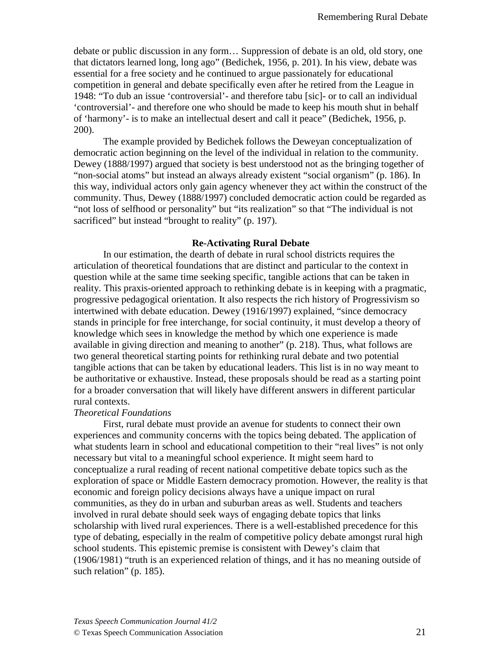debate or public discussion in any form… Suppression of debate is an old, old story, one that dictators learned long, long ago" (Bedichek, 1956, p. 201). In his view, debate was essential for a free society and he continued to argue passionately for educational competition in general and debate specifically even after he retired from the League in 1948: "To dub an issue 'controversial'- and therefore tabu [sic]- or to call an individual 'controversial'- and therefore one who should be made to keep his mouth shut in behalf of 'harmony'- is to make an intellectual desert and call it peace" (Bedichek, 1956, p. 200).

The example provided by Bedichek follows the Deweyan conceptualization of democratic action beginning on the level of the individual in relation to the community. Dewey (1888/1997) argued that society is best understood not as the bringing together of "non-social atoms" but instead an always already existent "social organism" (p. 186). In this way, individual actors only gain agency whenever they act within the construct of the community. Thus, Dewey (1888/1997) concluded democratic action could be regarded as "not loss of selfhood or personality" but "its realization" so that "The individual is not sacrificed" but instead "brought to reality" (p. 197).

### **Re-Activating Rural Debate**

 In our estimation, the dearth of debate in rural school districts requires the articulation of theoretical foundations that are distinct and particular to the context in question while at the same time seeking specific, tangible actions that can be taken in reality. This praxis-oriented approach to rethinking debate is in keeping with a pragmatic, progressive pedagogical orientation. It also respects the rich history of Progressivism so intertwined with debate education. Dewey (1916/1997) explained, "since democracy stands in principle for free interchange, for social continuity, it must develop a theory of knowledge which sees in knowledge the method by which one experience is made available in giving direction and meaning to another" (p. 218). Thus, what follows are two general theoretical starting points for rethinking rural debate and two potential tangible actions that can be taken by educational leaders. This list is in no way meant to be authoritative or exhaustive. Instead, these proposals should be read as a starting point for a broader conversation that will likely have different answers in different particular rural contexts.

#### *Theoretical Foundations*

First, rural debate must provide an avenue for students to connect their own experiences and community concerns with the topics being debated. The application of what students learn in school and educational competition to their "real lives" is not only necessary but vital to a meaningful school experience. It might seem hard to conceptualize a rural reading of recent national competitive debate topics such as the exploration of space or Middle Eastern democracy promotion. However, the reality is that economic and foreign policy decisions always have a unique impact on rural communities, as they do in urban and suburban areas as well. Students and teachers involved in rural debate should seek ways of engaging debate topics that links scholarship with lived rural experiences. There is a well-established precedence for this type of debating, especially in the realm of competitive policy debate amongst rural high school students. This epistemic premise is consistent with Dewey's claim that (1906/1981) "truth is an experienced relation of things, and it has no meaning outside of such relation" (p. 185).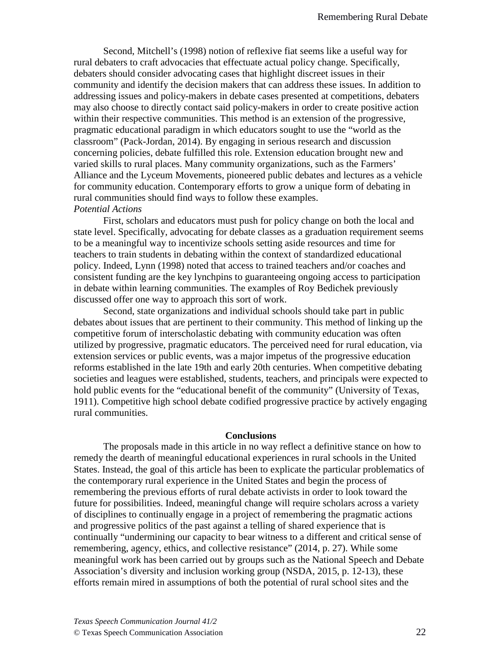Second, Mitchell's (1998) notion of reflexive fiat seems like a useful way for rural debaters to craft advocacies that effectuate actual policy change. Specifically, debaters should consider advocating cases that highlight discreet issues in their community and identify the decision makers that can address these issues. In addition to addressing issues and policy-makers in debate cases presented at competitions, debaters may also choose to directly contact said policy-makers in order to create positive action within their respective communities. This method is an extension of the progressive, pragmatic educational paradigm in which educators sought to use the "world as the classroom" (Pack-Jordan, 2014). By engaging in serious research and discussion concerning policies, debate fulfilled this role. Extension education brought new and varied skills to rural places. Many community organizations, such as the Farmers' Alliance and the Lyceum Movements, pioneered public debates and lectures as a vehicle for community education. Contemporary efforts to grow a unique form of debating in rural communities should find ways to follow these examples. *Potential Actions*

 First, scholars and educators must push for policy change on both the local and state level. Specifically, advocating for debate classes as a graduation requirement seems to be a meaningful way to incentivize schools setting aside resources and time for teachers to train students in debating within the context of standardized educational policy. Indeed, Lynn (1998) noted that access to trained teachers and/or coaches and consistent funding are the key lynchpins to guaranteeing ongoing access to participation in debate within learning communities. The examples of Roy Bedichek previously discussed offer one way to approach this sort of work.

 Second, state organizations and individual schools should take part in public debates about issues that are pertinent to their community. This method of linking up the competitive forum of interscholastic debating with community education was often utilized by progressive, pragmatic educators. The perceived need for rural education, via extension services or public events, was a major impetus of the progressive education reforms established in the late 19th and early 20th centuries. When competitive debating societies and leagues were established, students, teachers, and principals were expected to hold public events for the "educational benefit of the community" (University of Texas, 1911). Competitive high school debate codified progressive practice by actively engaging rural communities.

#### **Conclusions**

 The proposals made in this article in no way reflect a definitive stance on how to remedy the dearth of meaningful educational experiences in rural schools in the United States. Instead, the goal of this article has been to explicate the particular problematics of the contemporary rural experience in the United States and begin the process of remembering the previous efforts of rural debate activists in order to look toward the future for possibilities. Indeed, meaningful change will require scholars across a variety of disciplines to continually engage in a project of remembering the pragmatic actions and progressive politics of the past against a telling of shared experience that is continually "undermining our capacity to bear witness to a different and critical sense of remembering, agency, ethics, and collective resistance" (2014, p. 27). While some meaningful work has been carried out by groups such as the National Speech and Debate Association's diversity and inclusion working group (NSDA, 2015, p. 12-13), these efforts remain mired in assumptions of both the potential of rural school sites and the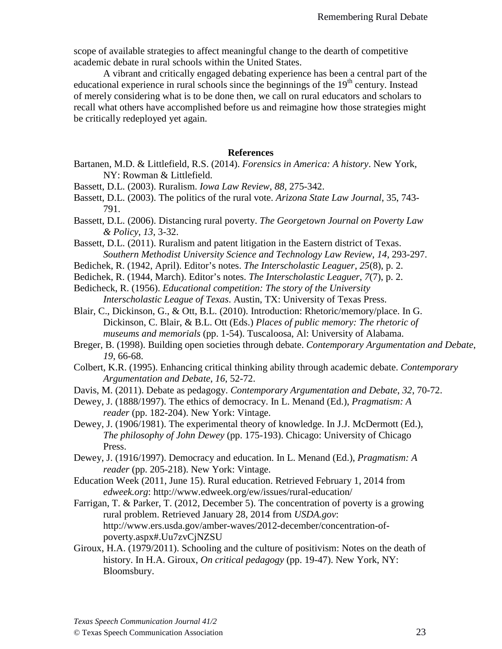scope of available strategies to affect meaningful change to the dearth of competitive academic debate in rural schools within the United States.

A vibrant and critically engaged debating experience has been a central part of the educational experience in rural schools since the beginnings of the  $19<sup>th</sup>$  century. Instead of merely considering what is to be done then, we call on rural educators and scholars to recall what others have accomplished before us and reimagine how those strategies might be critically redeployed yet again.

- Bartanen, M.D. & Littlefield, R.S. (2014). *Forensics in America: A history*. New York, NY: Rowman & Littlefield.
- Bassett, D.L. (2003). Ruralism. *Iowa Law Review*, *88*, 275-342.
- Bassett, D.L. (2003). The politics of the rural vote. *Arizona State Law Journal*, 35, 743- 791.
- Bassett, D.L. (2006). Distancing rural poverty. *The Georgetown Journal on Poverty Law & Policy*, *13*, 3-32.
- Bassett, D.L. (2011). Ruralism and patent litigation in the Eastern district of Texas. *Southern Methodist University Science and Technology Law Review*, *14*, 293-297.
- Bedichek, R. (1942, April). Editor's notes. *The Interscholastic Leaguer*, *25*(8), p. 2.
- Bedichek, R. (1944, March). Editor's notes. *The Interscholastic Leaguer*, *7*(7), p. 2.
- Bedicheck, R. (1956). *Educational competition: The story of the University Interscholastic League of Texas*. Austin, TX: University of Texas Press.
- Blair, C., Dickinson, G., & Ott, B.L. (2010). Introduction: Rhetoric/memory/place. In G. Dickinson, C. Blair, & B.L. Ott (Eds.) *Places of public memory: The rhetoric of museums and memorials* (pp. 1-54). Tuscaloosa, Al: University of Alabama.
- Breger, B. (1998). Building open societies through debate. *Contemporary Argumentation and Debate*, *19*, 66-68.
- Colbert, K.R. (1995). Enhancing critical thinking ability through academic debate. *Contemporary Argumentation and Debate*, *16*, 52-72.
- Davis, M. (2011). Debate as pedagogy. *Contemporary Argumentation and Debate*, *32*, 70-72.
- Dewey, J. (1888/1997). The ethics of democracy. In L. Menand (Ed.), *Pragmatism: A reader* (pp. 182-204). New York: Vintage.
- Dewey, J. (1906/1981). The experimental theory of knowledge. In J.J. McDermott (Ed.), *The philosophy of John Dewey* (pp. 175-193). Chicago: University of Chicago Press.
- Dewey, J. (1916/1997). Democracy and education. In L. Menand (Ed.), *Pragmatism: A reader* (pp. 205-218). New York: Vintage.
- Education Week (2011, June 15). Rural education. Retrieved February 1, 2014 from *edweek.org*: http://www.edweek.org/ew/issues/rural-education/
- Farrigan, T. & Parker, T. (2012, December 5). The concentration of poverty is a growing rural problem. Retrieved January 28, 2014 from *USDA.gov*: [http://www.ers.usda.gov/amber-waves/2012-december/concentration-of](http://www.ers.usda.gov/amber-waves/2012-december/concentration-of-poverty.aspx#.Uu7zvCjNZSU)[poverty.aspx#.Uu7zvCjNZSU](http://www.ers.usda.gov/amber-waves/2012-december/concentration-of-poverty.aspx#.Uu7zvCjNZSU)
- Giroux, H.A. (1979/2011). Schooling and the culture of positivism: Notes on the death of history. In H.A. Giroux, *On critical pedagogy* (pp. 19-47). New York, NY: Bloomsbury.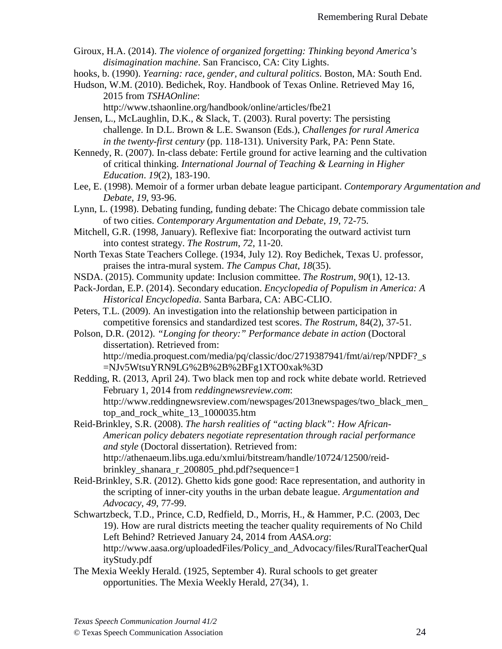Giroux, H.A. (2014). *The violence of organized forgetting: Thinking beyond America's disimagination machine*. San Francisco, CA: City Lights.

hooks, b. (1990). *Yearning: race, gender, and cultural politics*. Boston, MA: South End.

Hudson, W.M. (2010). Bedichek, Roy. Handbook of Texas Online. Retrieved May 16, 2015 from *TSHAOnline*:

http://www.tshaonline.org/handbook/online/articles/fbe21

Jensen, L., McLaughlin, D.K., & Slack, T. (2003). Rural poverty: The persisting challenge. In D.L. Brown & L.E. Swanson (Eds.), *Challenges for rural America in the twenty-first century* (pp. 118-131). University Park, PA: Penn State.

Kennedy, R. (2007). In-class debate: Fertile ground for active learning and the cultivation of critical thinking. *International Journal of Teaching & Learning in Higher Education*. *19*(2), 183-190.

Lee, E. (1998). Memoir of a former urban debate league participant. *Contemporary Argumentation and Debate*, *19*, 93-96.

Lynn, L. (1998). Debating funding, funding debate: The Chicago debate commission tale of two cities. *Contemporary Argumentation and Debate*, *19*, 72-75.

Mitchell, G.R. (1998, January). Reflexive fiat: Incorporating the outward activist turn into contest strategy. *The Rostrum*, *72*, 11-20.

North Texas State Teachers College. (1934, July 12). Roy Bedichek, Texas U. professor, praises the intra-mural system. *The Campus Chat*, *18*(35).

NSDA. (2015). Community update: Inclusion committee. *The Rostrum*, *90*(1), 12-13.

Pack-Jordan, E.P. (2014). Secondary education. *Encyclopedia of Populism in America: A Historical Encyclopedia*. Santa Barbara, CA: ABC-CLIO.

Peters, T.L. (2009). An investigation into the relationship between participation in competitive forensics and standardized test scores. *The Rostrum*, 84(2), 37-51.

Polson, D.R. (2012). *"Longing for theory:" Performance debate in action* (Doctoral dissertation). Retrieved from: http://media.proquest.com/media/pq/classic/doc/2719387941/fmt/ai/rep/NPDF?\_s =NJv5WtsuYRN9LG%2B%2B%2BFg1XTO0xak%3D

Redding, R. (2013, April 24). Two black men top and rock white debate world. Retrieved February 1, 2014 from *reddingnewsreview.com*: http://www.reddingnewsreview.com/newspages/2013newspages/two\_black\_men\_ top\_and\_rock\_white\_13\_1000035.htm

Reid-Brinkley, S.R. (2008). *The harsh realities of "acting black": How African-American policy debaters negotiate representation through racial performance and style* (Doctoral dissertation). Retrieved from: http://athenaeum.libs.uga.edu/xmlui/bitstream/handle/10724/12500/reidbrinkley\_shanara\_r\_200805\_phd.pdf?sequence=1

Reid-Brinkley, S.R. (2012). Ghetto kids gone good: Race representation, and authority in the scripting of inner-city youths in the urban debate league. *Argumentation and Advocacy*, *49*, 77-99.

- Schwartzbeck, T.D., Prince, C.D, Redfield, D., Morris, H., & Hammer, P.C. (2003, Dec 19). How are rural districts meeting the teacher quality requirements of No Child Left Behind? Retrieved January 24, 2014 from *AASA.org*: http://www.aasa.org/uploadedFiles/Policy\_and\_Advocacy/files/RuralTeacherQual ityStudy.pdf
- The Mexia Weekly Herald. (1925, September 4). Rural schools to get greater opportunities. The Mexia Weekly Herald, 27(34), 1.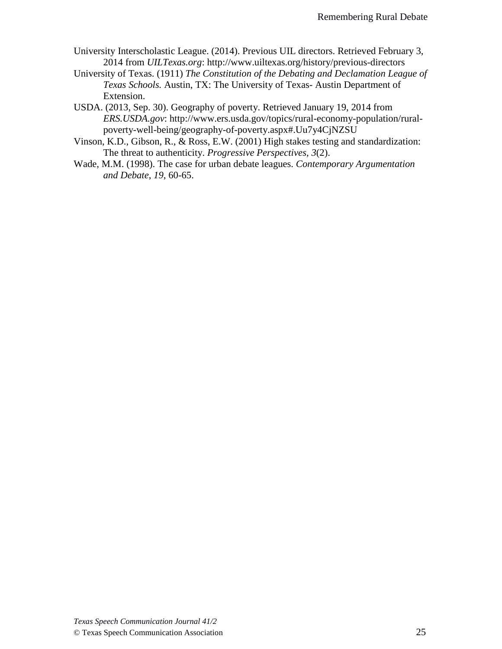- University Interscholastic League. (2014). Previous UIL directors. Retrieved February 3, 2014 from *UILTexas.org*: http://www.uiltexas.org/history/previous-directors
- University of Texas. (1911) *The Constitution of the Debating and Declamation League of Texas Schools.* Austin, TX: The University of Texas- Austin Department of Extension.
- USDA. (2013, Sep. 30). Geography of poverty. Retrieved January 19, 2014 from *ERS.USDA.gov*: [http://www.ers.usda.gov/topics/rural-economy-population/rural](http://www.ers.usda.gov/topics/rural-economy-population/rural-poverty-well-being/geography-of-poverty.aspx#.Uu7y4CjNZSU)[poverty-well-being/geography-of-poverty.aspx#.Uu7y4CjNZSU](http://www.ers.usda.gov/topics/rural-economy-population/rural-poverty-well-being/geography-of-poverty.aspx#.Uu7y4CjNZSU)
- Vinson, K.D., Gibson, R., & Ross, E.W. (2001) High stakes testing and standardization: The threat to authenticity. *Progressive Perspectives, 3*(2).
- Wade, M.M. (1998). The case for urban debate leagues. *Contemporary Argumentation and Debate*, *19*, 60-65.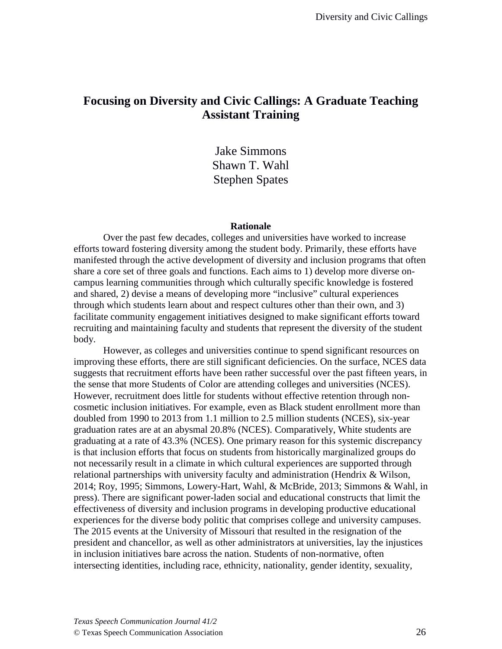# **Focusing on Diversity and Civic Callings: A Graduate Teaching Assistant Training**

Jake Simmons Shawn T. Wahl Stephen Spates

#### **Rationale**

Over the past few decades, colleges and universities have worked to increase efforts toward fostering diversity among the student body. Primarily, these efforts have manifested through the active development of diversity and inclusion programs that often share a core set of three goals and functions. Each aims to 1) develop more diverse oncampus learning communities through which culturally specific knowledge is fostered and shared, 2) devise a means of developing more "inclusive" cultural experiences through which students learn about and respect cultures other than their own, and 3) facilitate community engagement initiatives designed to make significant efforts toward recruiting and maintaining faculty and students that represent the diversity of the student body.

However, as colleges and universities continue to spend significant resources on improving these efforts, there are still significant deficiencies. On the surface, NCES data suggests that recruitment efforts have been rather successful over the past fifteen years, in the sense that more Students of Color are attending colleges and universities (NCES). However, recruitment does little for students without effective retention through noncosmetic inclusion initiatives. For example, even as Black student enrollment more than doubled from 1990 to 2013 from 1.1 million to 2.5 million students (NCES), six-year graduation rates are at an abysmal 20.8% (NCES). Comparatively, White students are graduating at a rate of 43.3% (NCES). One primary reason for this systemic discrepancy is that inclusion efforts that focus on students from historically marginalized groups do not necessarily result in a climate in which cultural experiences are supported through relational partnerships with university faculty and administration (Hendrix & Wilson, 2014; Roy, 1995; Simmons, Lowery-Hart, Wahl, & McBride, 2013; Simmons & Wahl, in press). There are significant power-laden social and educational constructs that limit the effectiveness of diversity and inclusion programs in developing productive educational experiences for the diverse body politic that comprises college and university campuses. The 2015 events at the University of Missouri that resulted in the resignation of the president and chancellor, as well as other administrators at universities, lay the injustices in inclusion initiatives bare across the nation. Students of non-normative, often intersecting identities, including race, ethnicity, nationality, gender identity, sexuality,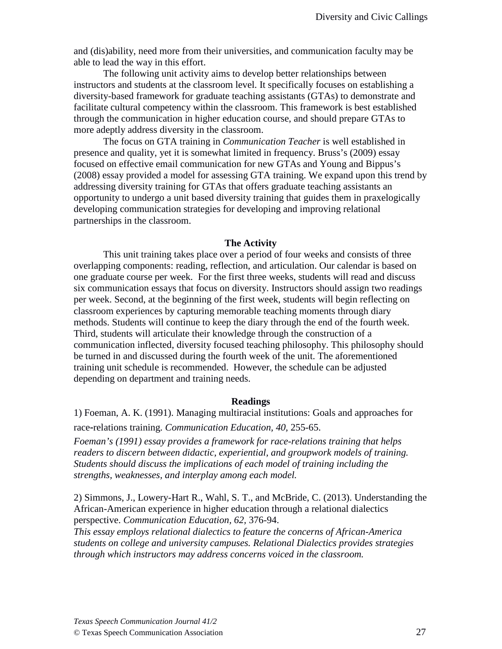and (dis)ability, need more from their universities, and communication faculty may be able to lead the way in this effort.

The following unit activity aims to develop better relationships between instructors and students at the classroom level. It specifically focuses on establishing a diversity-based framework for graduate teaching assistants (GTAs) to demonstrate and facilitate cultural competency within the classroom. This framework is best established through the communication in higher education course, and should prepare GTAs to more adeptly address diversity in the classroom.

The focus on GTA training in *Communication Teacher* is well established in presence and quality, yet it is somewhat limited in frequency. Bruss's (2009) essay focused on effective email communication for new GTAs and Young and Bippus's (2008) essay provided a model for assessing GTA training. We expand upon this trend by addressing diversity training for GTAs that offers graduate teaching assistants an opportunity to undergo a unit based diversity training that guides them in praxelogically developing communication strategies for developing and improving relational partnerships in the classroom.

#### **The Activity**

This unit training takes place over a period of four weeks and consists of three overlapping components: reading, reflection, and articulation. Our calendar is based on one graduate course per week. For the first three weeks, students will read and discuss six communication essays that focus on diversity. Instructors should assign two readings per week. Second, at the beginning of the first week, students will begin reflecting on classroom experiences by capturing memorable teaching moments through diary methods. Students will continue to keep the diary through the end of the fourth week. Third, students will articulate their knowledge through the construction of a communication inflected, diversity focused teaching philosophy. This philosophy should be turned in and discussed during the fourth week of the unit. The aforementioned training unit schedule is recommended. However, the schedule can be adjusted depending on department and training needs.

#### **Readings**

1) Foeman, A. K. (1991). Managing multiracial institutions: Goals and approaches for

race‐relations training. *Communication Education, 40,* 255-65.

*Foeman's (1991) essay provides a framework for race-relations training that helps readers to discern between didactic, experiential, and groupwork models of training. Students should discuss the implications of each model of training including the strengths, weaknesses, and interplay among each model.*

2) Simmons, J., Lowery-Hart R., Wahl, S. T., and McBride, C. (2013). Understanding the African-American experience in higher education through a relational dialectics perspective. *Communication Education, 62,* 376-94.

*This essay employs relational dialectics to feature the concerns of African-America students on college and university campuses. Relational Dialectics provides strategies through which instructors may address concerns voiced in the classroom.*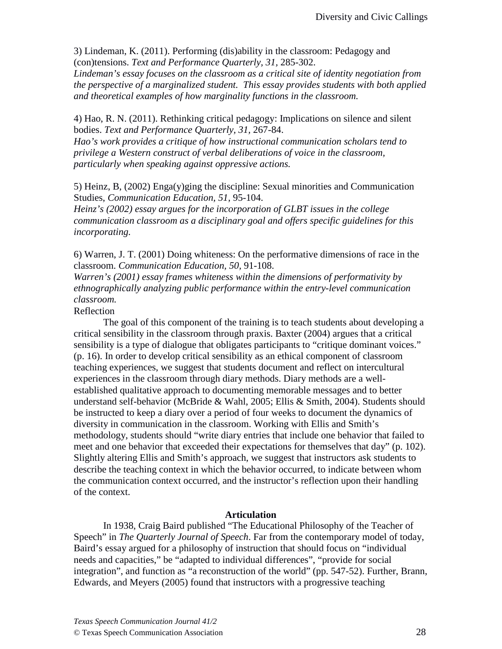3) Lindeman, K. (2011). Performing (dis)ability in the classroom: Pedagogy and (con)tensions. *Text and Performance Quarterly, 31,* 285-302.

*Lindeman's essay focuses on the classroom as a critical site of identity negotiation from the perspective of a marginalized student. This essay provides students with both applied and theoretical examples of how marginality functions in the classroom.*

4) Hao, R. N. (2011). Rethinking critical pedagogy: Implications on silence and silent bodies. *Text and Performance Quarterly, 31,* 267-84.

*Hao's work provides a critique of how instructional communication scholars tend to privilege a Western construct of verbal deliberations of voice in the classroom, particularly when speaking against oppressive actions.* 

5) Heinz, B, (2002) Enga(y)ging the discipline: Sexual minorities and Communication Studies, *Communication Education, 51,* 95-104.

*Heinz's (2002) essay argues for the incorporation of GLBT issues in the college communication classroom as a disciplinary goal and offers specific guidelines for this incorporating.*

6) Warren, J. T. (2001) Doing whiteness: On the performative dimensions of race in the classroom. *Communication Education, 50,* 91-108.

*Warren's (2001) essay frames whiteness within the dimensions of performativity by ethnographically analyzing public performance within the entry-level communication classroom.* 

### Reflection

The goal of this component of the training is to teach students about developing a critical sensibility in the classroom through praxis. Baxter (2004) argues that a critical sensibility is a type of dialogue that obligates participants to "critique dominant voices." (p. 16). In order to develop critical sensibility as an ethical component of classroom teaching experiences, we suggest that students document and reflect on intercultural experiences in the classroom through diary methods. Diary methods are a wellestablished qualitative approach to documenting memorable messages and to better understand self-behavior (McBride & Wahl, 2005; Ellis & Smith, 2004). Students should be instructed to keep a diary over a period of four weeks to document the dynamics of diversity in communication in the classroom. Working with Ellis and Smith's methodology, students should "write diary entries that include one behavior that failed to meet and one behavior that exceeded their expectations for themselves that day" (p. 102). Slightly altering Ellis and Smith's approach, we suggest that instructors ask students to describe the teaching context in which the behavior occurred, to indicate between whom the communication context occurred, and the instructor's reflection upon their handling of the context.

### **Articulation**

In 1938, Craig Baird published "The Educational Philosophy of the Teacher of Speech" in *The Quarterly Journal of Speech*. Far from the contemporary model of today, Baird's essay argued for a philosophy of instruction that should focus on "individual needs and capacities," be "adapted to individual differences", "provide for social integration", and function as "a reconstruction of the world" (pp. 547-52). Further, Brann, Edwards, and Meyers (2005) found that instructors with a progressive teaching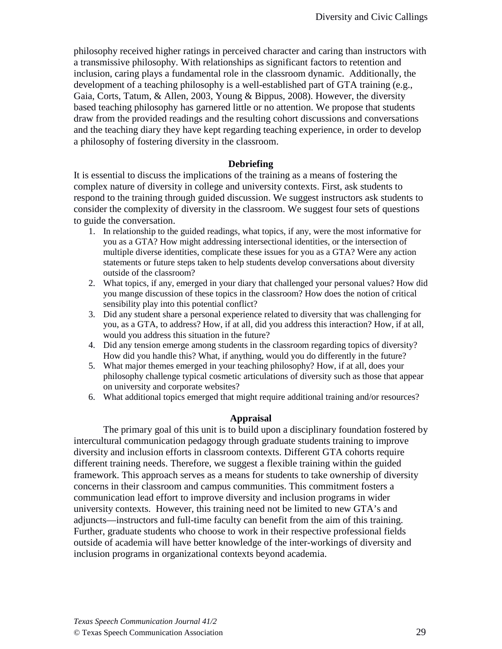philosophy received higher ratings in perceived character and caring than instructors with a transmissive philosophy. With relationships as significant factors to retention and inclusion, caring plays a fundamental role in the classroom dynamic. Additionally, the development of a teaching philosophy is a well-established part of GTA training (e.g., Gaia, Corts, Tatum, & Allen, 2003, Young & Bippus, 2008). However, the diversity based teaching philosophy has garnered little or no attention. We propose that students draw from the provided readings and the resulting cohort discussions and conversations and the teaching diary they have kept regarding teaching experience, in order to develop a philosophy of fostering diversity in the classroom.

# **Debriefing**

It is essential to discuss the implications of the training as a means of fostering the complex nature of diversity in college and university contexts. First, ask students to respond to the training through guided discussion. We suggest instructors ask students to consider the complexity of diversity in the classroom. We suggest four sets of questions to guide the conversation.

- 1. In relationship to the guided readings, what topics, if any, were the most informative for you as a GTA? How might addressing intersectional identities, or the intersection of multiple diverse identities, complicate these issues for you as a GTA? Were any action statements or future steps taken to help students develop conversations about diversity outside of the classroom?
- 2. What topics, if any, emerged in your diary that challenged your personal values? How did you mange discussion of these topics in the classroom? How does the notion of critical sensibility play into this potential conflict?
- 3. Did any student share a personal experience related to diversity that was challenging for you, as a GTA, to address? How, if at all, did you address this interaction? How, if at all, would you address this situation in the future?
- 4. Did any tension emerge among students in the classroom regarding topics of diversity? How did you handle this? What, if anything, would you do differently in the future?
- 5. What major themes emerged in your teaching philosophy? How, if at all, does your philosophy challenge typical cosmetic articulations of diversity such as those that appear on university and corporate websites?
- 6. What additional topics emerged that might require additional training and/or resources?

# **Appraisal**

The primary goal of this unit is to build upon a disciplinary foundation fostered by intercultural communication pedagogy through graduate students training to improve diversity and inclusion efforts in classroom contexts. Different GTA cohorts require different training needs. Therefore, we suggest a flexible training within the guided framework. This approach serves as a means for students to take ownership of diversity concerns in their classroom and campus communities. This commitment fosters a communication lead effort to improve diversity and inclusion programs in wider university contexts. However, this training need not be limited to new GTA's and adjuncts—instructors and full-time faculty can benefit from the aim of this training. Further, graduate students who choose to work in their respective professional fields outside of academia will have better knowledge of the inter-workings of diversity and inclusion programs in organizational contexts beyond academia.